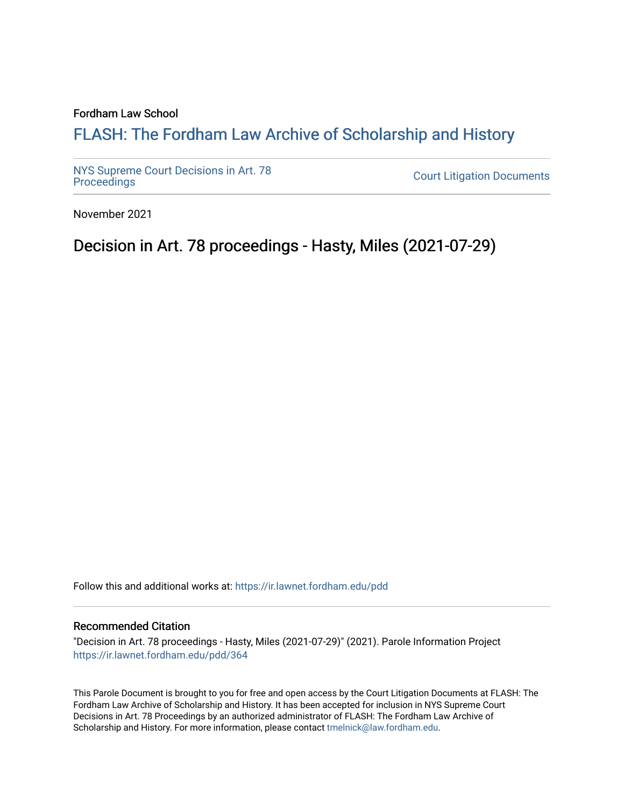## Fordham Law School

# FLASH: The For[dham Law Archive of Scholarship and Hist](https://ir.lawnet.fordham.edu/)ory

[NYS Supreme Court Decisions in Art. 78](https://ir.lawnet.fordham.edu/pdd)

**Court Litigation Documents** 

November 2021

# Decision in Art. 78 proceedings - Hasty, Miles (2021-07-29)

Follow this and additional works at: [https://ir.lawnet.fordham.edu/pdd](https://ir.lawnet.fordham.edu/pdd?utm_source=ir.lawnet.fordham.edu%2Fpdd%2F364&utm_medium=PDF&utm_campaign=PDFCoverPages)

## Recommended Citation

"Decision in Art. 78 proceedings - Hasty, Miles (2021-07-29)" (2021). Parole Information Project [https://ir.lawnet.fordham.edu/pdd/364](https://ir.lawnet.fordham.edu/pdd/364?utm_source=ir.lawnet.fordham.edu%2Fpdd%2F364&utm_medium=PDF&utm_campaign=PDFCoverPages)

This Parole Document is brought to you for free and open access by the Court Litigation Documents at FLASH: The Fordham Law Archive of Scholarship and History. It has been accepted for inclusion in NYS Supreme Court Decisions in Art. 78 Proceedings by an authorized administrator of FLASH: The Fordham Law Archive of Scholarship and History. For more information, please contact [tmelnick@law.fordham.edu](mailto:tmelnick@law.fordham.edu).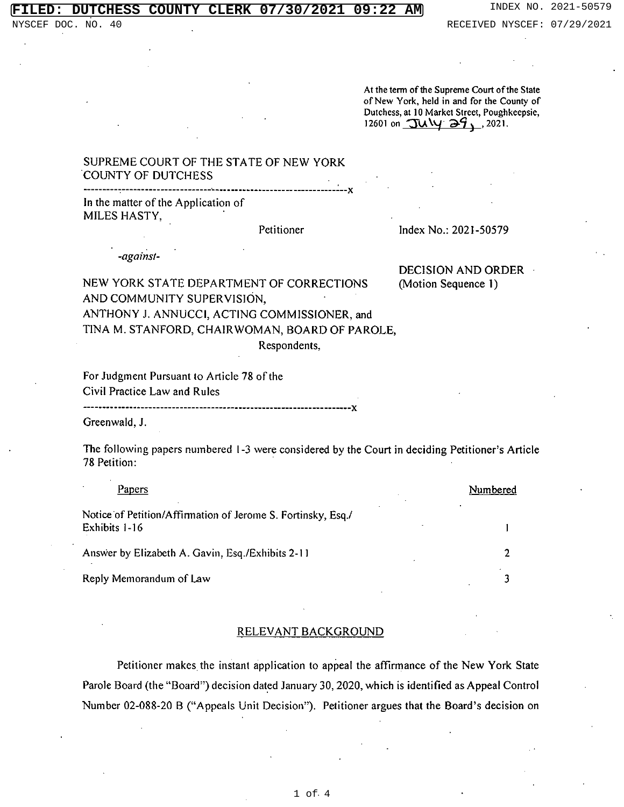At the term of the Supreme Court of the State of New York, held in and for the County of Dutchess, at 10 Market Street, Poughkeepsie, 12601 on  $\frac{7u \sqrt{9}}{29}$ , 2021.

# SUPREME COURT OF THE STATE OF NEW YORK COUNTY OF DUTCHESS

In the matter of the Application of MILES HASTY,

Petitioner Index No.: 2021-50579

DECISION AND ORDER

-against-

NEW YORK STATE DEPARTMENT OF CORRECTIONS (Motion Sequence 1) AND COMMUNITY SUPERVISION, ANTHONY J. ANNUCCI, ACTING COMMISSIONER, and TINA M. STANFORD, CHAIRWOMAN, BOARD OF PAROLE,

Respondents,

For Judgment Pursuant to Article 78 of the Civil Practice Law and Rules

Greenwald, J.

The following papers numbered 1-3 were considered by the Court in deciding Petitioner's Article 78 Petition:

| Papers                                                                        | Numbered |
|-------------------------------------------------------------------------------|----------|
| Notice of Petition/Affirmation of Jerome S. Fortinsky, Esq./<br>Exhibits 1-16 |          |
| Answer by Elizabeth A. Gavin, Esq./Exhibits 2-11                              |          |
| Reply Memorandum of Law                                                       |          |

## RELEVANT BACKGROUND

Petitioner makes the instant application to appeal the affirmance of the New York State Parole Board (the "Board") decision dated January 30, 2020, which is identified as Appeal Control Number 02-088-20 B ("Appeals Unit Decision"). Petitioner argues that the Board's decision on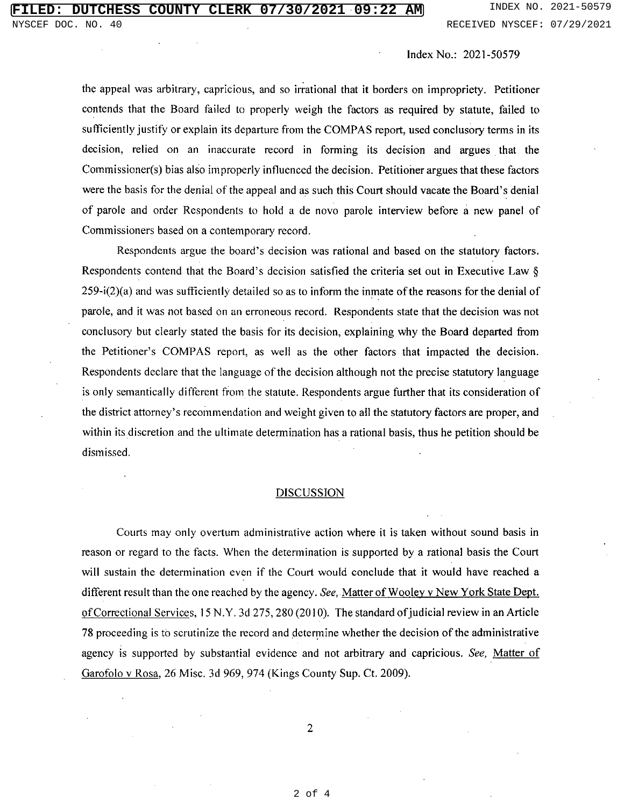Index No.: 2021-50579

the appeal was arbitrary, capricious, and so irrational that it borders on impropriety. Petitioner contends that the Board failed to properly weigh the factors as required by statute, failed to sufficiently justify or explain its departure from the COMPAS report, used conclusory terms in its decision, relied on an inaccurate record in forming its decision and argues that the Commissioner(s) bias also improperly influenced the decision. Petitioner argues that these factors were the basis for the denial of the appeal and as such this Court should vacate the Board's denial of parole and order Respondents to hold a de novo parole interview before a new panel of Commissioners based on a contemporary record.

Respondents argue the board's decision was rational and based on the statutory factors. Respondents contend that the Board's decision satisfied the criteria set out in Executive Law § 259-i(2)(a) and was sufficiently detailed so as to inform the inmate of the reasons for the denial of parole, and it was not based on an erroneous record. Respondents state that the decision was not conclusory but clearly stated the basis for its decision, explaining why the Board departed from the Petitioner's COMPAS report, as well as the other factors that impacted the decision. Respondents declare that the language of the decision although not the precise statutory language is only semantically different from the statute. Respondents argue further that its consideration of the district attorney's recommendation and weight given to all the statutory factors are proper, and within its discretion and the ultimate determination has a rational basis, thus he petition should be dismissed.

### DISCUSSION

Courts may only overturn administrative action where it is taken without sound basis in reason or regard to the facts. When the determination is supported by a rational basis the Court will sustain the determination even if the Court would conclude that it would have reached a different result than the one reached by the agency. *See,* Matter of Wooley v New York State Dept. ofCorrectional Services, 15 N.Y. 3d 275, 280 (2010). The standard ofjudicial review in an Article 78 proceeding is to scrutinize the record and determine whether the decision of the administrative agency is supported by substantial evidence and not arbitrary and capricious. See, Matter of Garofolo v Rosa, 26 Misc. 3d 969, 974 (Kings County Sup. Ct. 2009).

2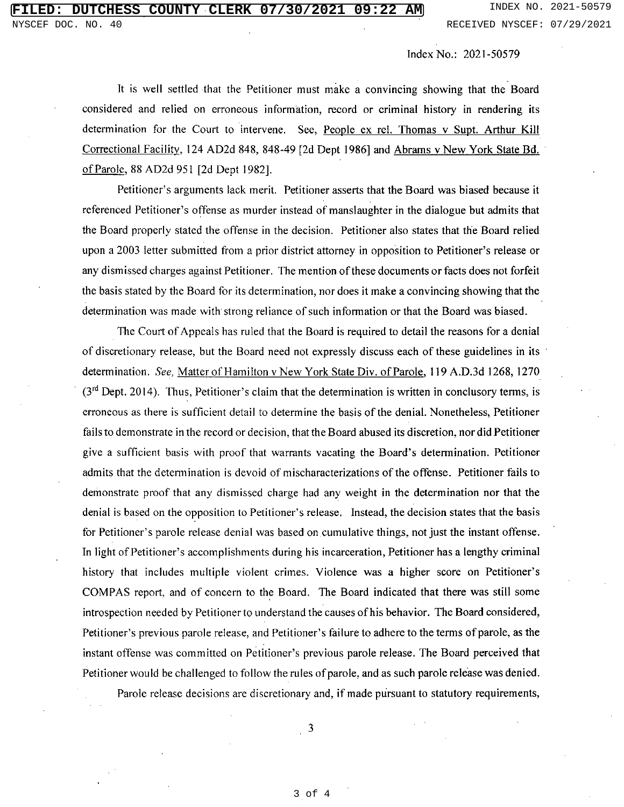Index No.: 2021-50579

It is well settled that the Petitioner must make a convincing showing that the Board considered and relied on erroneous information, record or criminal history in rendering its determination for the Court to intervene. See, People ex rel. Thomas v Supt. Arthur Kill Correctional Facility. 124 AD2d 848, 848-49 [2d Dept 1986] and Abrams v New York State Bd. of Parole, 88 AD2d 951 [2d Dept 1982].

Petitioner's arguments lack merit. Petitioner asserts that the Board was biased because it referenced Petitioner's offense as murder instead of manslaughter in the dialogue but admits that the Board properly stated the offense in the decision. Petitioner also states that the Board relied upon a 2003 letter submitted from a prior district attorney in opposition to Petitioner's release or any dismissed charges against Petitioner. The mention of these documents or facts does not forfeit the basis stated by the Board for its determination, nor does it make a convincing showing that the determination was made with strong reliance of such information or that the Board was biased.

The Court of Appeals has ruled that the Board is required to detail the reasons for a denial of discretionary release, but the Board need not expressly discuss each of these guidelines in its determination. See, Matter of Hamilton v New York State Div. of Parole, 119 A.D.3d 1268, 1270  $(3<sup>rd</sup>$  Dept. 2014). Thus, Petitioner's claim that the determination is written in conclusory terms, is erroneous as there is sufficient detail to determine the basis of the denial. Nonetheless, Petitioner fails to demonstrate in the record or decision, that the Board abused its discretion, nor did Petitioner give a sufficient basis with proof that warrants vacating the Board's determination. Petitioner admits that the determination is devoid of mischaracterizations of the offense. Petitioner fails to demonstrate proof that any dismissed charge had any weight in the determination nor that the denial is based on the opposition to Petitioner's release. Instead, the decision states that the basis for Petitioner's parole release denial was based on cumulative things, not just the instant offense. In light of Petitioner's accomplishments during his incarceration, Petitioner has a lengthy criminal history that includes multiple violent crimes. Violence was a higher score on Petitioner's COMPAS report, and of concern to the Board. The Board indicated that there was still some introspection needed by Petitioner to understand the causes of his behavior. The Board considered, Petitioner's previous parole release, and Petitioner's failure to adhere to the terms of parole, as the instant offense was committed on Petitioner's previous parole release. The Board perceived that Petitioner would be challenged to follow the rules of parole, and as such parole release was denied. Parole release decisions are discretionary and, if made pursuant to statutory requirements,

 $\overline{\mathbf{3}}$